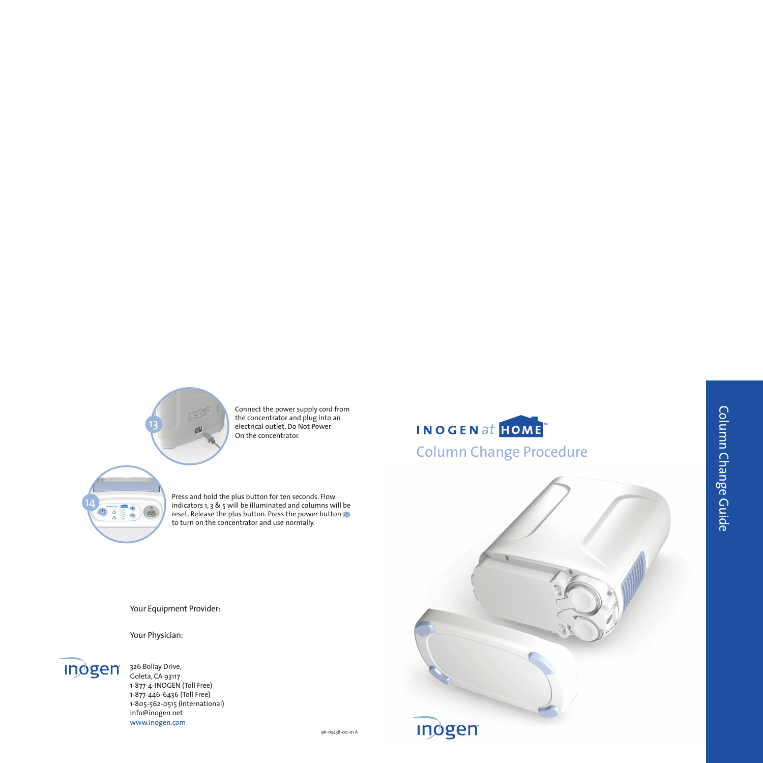96-05438-00-01 A

Your Equipment Provider:

Your Physician:





Connect the power supply cord from the concentrator and plug into an electrical outlet. Do Not Power On the concentrator.

Press and hold the plus button for ten seconds. Flow indicators 1, 3 & 5 will be illuminated and columns will be reset. Release the plus button. Press the power button  $\bullet$ to turn on the concentrator and use normally.



14

**Indgen** 326 Bollay Drive, Goleta, CA 93117 1-877-4-INOGEN (Toll Free) 1-877-446-6436 (Toll Free) 1-805-562-0515 (International) info@inogen.net www.inogen.com